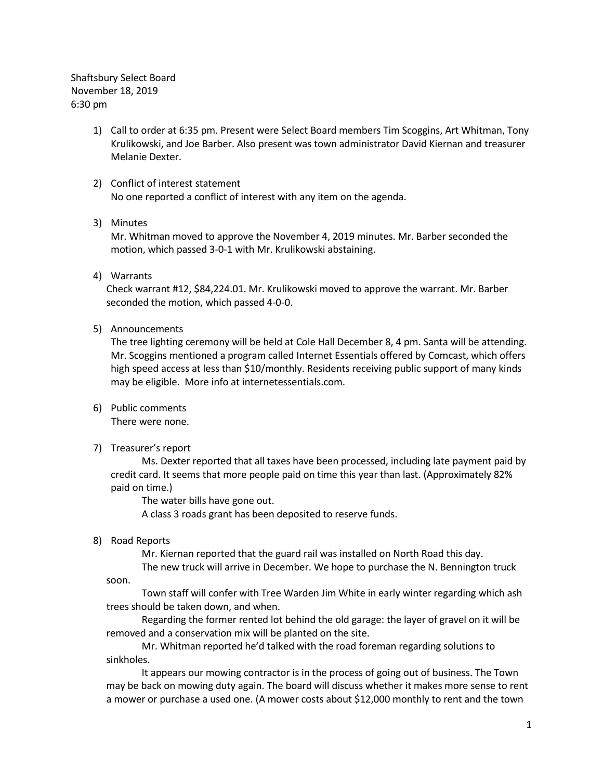Shaftsbury Select Board November 18, 2019 6:30 pm

- 1) Call to order at 6:35 pm. Present were Select Board members Tim Scoggins, Art Whitman, Tony Krulikowski, and Joe Barber. Also present was town administrator David Kiernan and treasurer Melanie Dexter.
- 2) Conflict of interest statement No one reported a conflict of interest with any item on the agenda.

# 3) Minutes

Mr. Whitman moved to approve the November 4, 2019 minutes. Mr. Barber seconded the motion, which passed 3-0-1 with Mr. Krulikowski abstaining.

4) Warrants

Check warrant #12, \$84,224.01. Mr. Krulikowski moved to approve the warrant. Mr. Barber seconded the motion, which passed 4-0-0.

5) Announcements

The tree lighting ceremony will be held at Cole Hall December 8, 4 pm. Santa will be attending. Mr. Scoggins mentioned a program called Internet Essentials offered by Comcast, which offers high speed access at less than \$10/monthly. Residents receiving public support of many kinds may be eligible. More info at internetessentials.com.

6) Public comments

There were none.

7) Treasurer's report

Ms. Dexter reported that all taxes have been processed, including late payment paid by credit card. It seems that more people paid on time this year than last. (Approximately 82% paid on time.)

The water bills have gone out.

A class 3 roads grant has been deposited to reserve funds.

8) Road Reports

Mr. Kiernan reported that the guard rail was installed on North Road this day.

The new truck will arrive in December. We hope to purchase the N. Bennington truck soon.

Town staff will confer with Tree Warden Jim White in early winter regarding which ash trees should be taken down, and when.

Regarding the former rented lot behind the old garage: the layer of gravel on it will be removed and a conservation mix will be planted on the site.

Mr. Whitman reported he'd talked with the road foreman regarding solutions to sinkholes.

It appears our mowing contractor is in the process of going out of business. The Town may be back on mowing duty again. The board will discuss whether it makes more sense to rent a mower or purchase a used one. (A mower costs about \$12,000 monthly to rent and the town